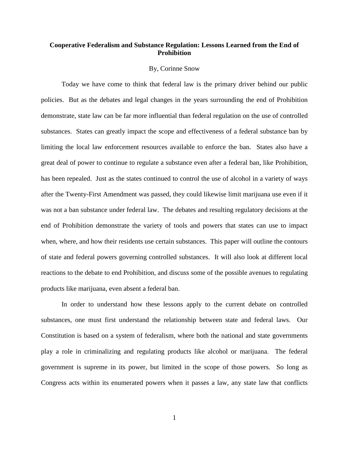## **Cooperative Federalism and Substance Regulation: Lessons Learned from the End of Prohibition**

#### By, Corinne Snow

Today we have come to think that federal law is the primary driver behind our public policies. But as the debates and legal changes in the years surrounding the end of Prohibition demonstrate, state law can be far more influential than federal regulation on the use of controlled substances. States can greatly impact the scope and effectiveness of a federal substance ban by limiting the local law enforcement resources available to enforce the ban. States also have a great deal of power to continue to regulate a substance even after a federal ban, like Prohibition, has been repealed. Just as the states continued to control the use of alcohol in a variety of ways after the Twenty-First Amendment was passed, they could likewise limit marijuana use even if it was not a ban substance under federal law. The debates and resulting regulatory decisions at the end of Prohibition demonstrate the variety of tools and powers that states can use to impact when, where, and how their residents use certain substances. This paper will outline the contours of state and federal powers governing controlled substances. It will also look at different local reactions to the debate to end Prohibition, and discuss some of the possible avenues to regulating products like marijuana, even absent a federal ban.

In order to understand how these lessons apply to the current debate on controlled substances, one must first understand the relationship between state and federal laws. Our Constitution is based on a system of federalism, where both the national and state governments play a role in criminalizing and regulating products like alcohol or marijuana. The federal government is supreme in its power, but limited in the scope of those powers. So long as Congress acts within its enumerated powers when it passes a law, any state law that conflicts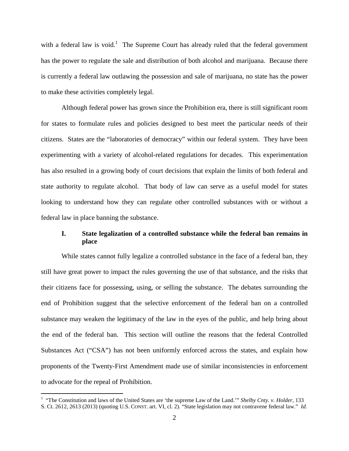witha federal law is void[.](#page-1-0)<sup>1</sup> The Supreme Court has already ruled that the federal government has the power to regulate the sale and distribution of both alcohol and marijuana. Because there is currently a federal law outlawing the possession and sale of marijuana, no state has the power to make these activities completely legal.

Although federal power has grown since the Prohibition era, there is still significant room for states to formulate rules and policies designed to best meet the particular needs of their citizens. States are the "laboratories of democracy" within our federal system. They have been experimenting with a variety of alcohol-related regulations for decades. This experimentation has also resulted in a growing body of court decisions that explain the limits of both federal and state authority to regulate alcohol. That body of law can serve as a useful model for states looking to understand how they can regulate other controlled substances with or without a federal law in place banning the substance.

# **I. State legalization of a controlled substance while the federal ban remains in place**

While states cannot fully legalize a controlled substance in the face of a federal ban, they still have great power to impact the rules governing the use of that substance, and the risks that their citizens face for possessing, using, or selling the substance. The debates surrounding the end of Prohibition suggest that the selective enforcement of the federal ban on a controlled substance may weaken the legitimacy of the law in the eyes of the public, and help bring about the end of the federal ban. This section will outline the reasons that the federal Controlled Substances Act ("CSA") has not been uniformly enforced across the states, and explain how proponents of the Twenty-First Amendment made use of similar inconsistencies in enforcement to advocate for the repeal of Prohibition.

<span id="page-1-0"></span><sup>&</sup>lt;sup>1</sup> "The Constitution and laws of the United States are 'the supreme Law of the Land.'" *Shelby Cnty. v. Holder*, 133 S. Ct. 2612, 2613 (2013) (quoting U.S. CONST. art. VI, cl. 2). "State legislation may not contravene federal law." *Id.*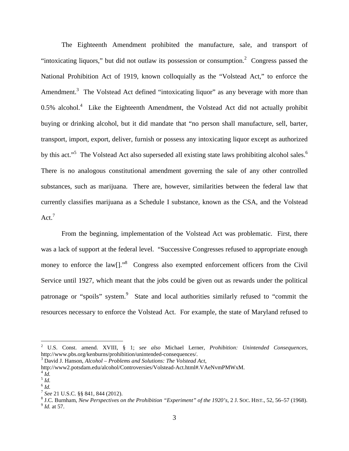The Eighteenth Amendment prohibited the manufacture, sale, and transport of "intoxicating liquors," but did not outlaw its possession or consumption. $\alpha$  Congress passed the National Prohibition Act of 1919, known colloquially as the "Volstead Act," to enforce the Amendment.<sup>[3](#page-2-1)</sup> The Volstead Act defined "intoxicating liquor" as any beverage with more than  $0.5\%$  alcohol.<sup>[4](#page-2-2)</sup> Like the Eighteenth Amendment, the Volstead Act did not actually prohibit buying or drinking alcohol, but it did mandate that "no person shall manufacture, sell, barter, transport, import, export, deliver, furnish or possess any intoxicating liquor except as authorized bythis act.["](#page-2-3)<sup>5</sup> The Volstead Act also superseded all existing state laws prohibiting alcohol sales[.](#page-2-4)<sup>6</sup> There is no analogous constitutional amendment governing the sale of any other controlled substances, such as marijuana. There are, however, similarities between the federal law that currently classifies marijuana as a Schedule I substance, known as the CSA, and the Volstead Act. $7$ 

From the beginning, implementation of the Volstead Act was problematic. First, there was a lack of support at the federal level. "Successive Congresses refused to appropriate enough money to enforce the law<sup>[]</sup>.<sup>[8](#page-2-6)</sup> Congress also exempted enforcement officers from the Civil Service until 1927, which meant that the jobs could be given out as rewards under the political patronage or "spoils" system.<sup>[9](#page-2-7)</sup> State and local authorities similarly refused to "commit the resources necessary to enforce the Volstead Act. For example, the state of Maryland refused to

<span id="page-2-2"></span>http://www2.potsdam.edu/alcohol/Controversies/Volstead-Act.html#.VAeNvmPMWxM.

<span id="page-2-0"></span><sup>2</sup> U.S. Const. amend. XVIII, § 1; *see also* Michael Lerner, *Prohibition: Unintended Consequences*, http://www.pbs.org/kenburns/prohibition/unintended-consequences/.

<span id="page-2-1"></span><sup>3</sup> David J. Hanson, *Alcohol – Problems and Solutions: The Volstead Act*,

<span id="page-2-3"></span> $^{4}$ *Id.* 

<span id="page-2-4"></span><sup>5</sup> *Id.*

<sup>6</sup> *Id.*

<span id="page-2-6"></span><span id="page-2-5"></span><sup>7</sup> *See* 21 U.S.C. §§ 841, 844 (2012).

<span id="page-2-7"></span><sup>8</sup> J.C. Burnham, *New Perspectives on the Prohibition "Experiment" of the 1920's*, 2 J. SOC. HIST., 52, 56–57 (1968). 9 *Id.* at 57.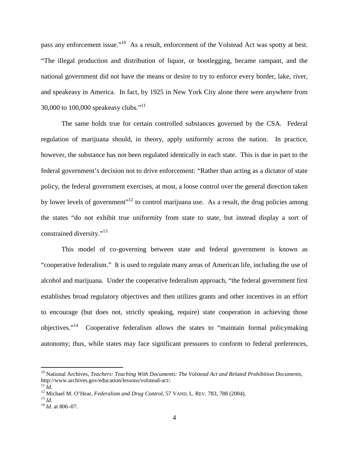pass any enforcement issue."[10](#page-3-0) As a result, enforcement of the Volstead Act was spotty at best. "The illegal production and distribution of liquor, or bootlegging, became rampant, and the national government did not have the means or desire to try to enforce every border, lake, river, and speakeasy in America. In fact, by 1925 in New York City alone there were anywhere from 30,000 to [1](#page-3-1)00,000 speakeasy clubs."<sup>11</sup>

The same holds true for certain controlled substances governed by the CSA. Federal regulation of marijuana should, in theory, apply uniformly across the nation. In practice, however, the substance has not been regulated identically in each state. This is due in part to the federal government's decision not to drive enforcement: "Rather than acting as a dictator of state policy, the federal government exercises, at most, a loose control over the general direction taken by lower levels of government"<sup>[12](#page-3-2)</sup> to control marijuana use. As a result, the drug policies among the states "do not exhibit true uniformity from state to state, but instead display a sort of constrained diversity."<sup>[13](#page-3-3)</sup>

This model of co-governing between state and federal government is known as "cooperative federalism." It is used to regulate many areas of American life, including the use of alcohol and marijuana. Under the cooperative federalism approach, "the federal government first establishes broad regulatory objectives and then utilizes grants and other incentives in an effort to encourage (but does not, strictly speaking, require) state cooperation in achieving those objectives."[14](#page-3-4) Cooperative federalism allows the states to "maintain formal policymaking autonomy; thus, while states may face significant pressures to conform to federal preferences,

<span id="page-3-0"></span><sup>10</sup> National Archives, *Teachers: Teaching With Documents: The Volstead Act and Related Prohibition Documents*, http://www.archives.gov/education/lessons/volstead-act/.  $^{11}$ *Id.* 

<span id="page-3-2"></span><span id="page-3-1"></span><sup>&</sup>lt;sup>12</sup> Michael M. O'Hear, *Federalism and Drug Control*, 57 VAND. L. REV. 783, 788 (2004).

<span id="page-3-3"></span><sup>13</sup> *Id.*

<span id="page-3-4"></span><sup>14</sup> *Id*. at 806–07.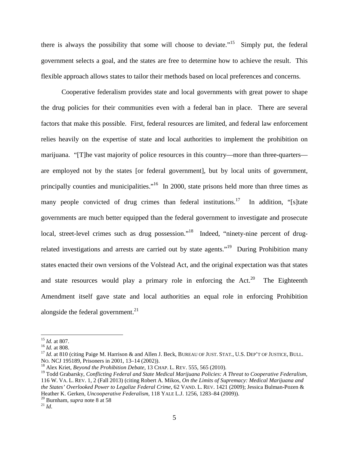there is always the possibility that some will choose to deviate."<sup>[15](#page-4-0)</sup> Simply put, the federal government selects a goal, and the states are free to determine how to achieve the result. This flexible approach allows states to tailor their methods based on local preferences and concerns.

Cooperative federalism provides state and local governments with great power to shape the drug policies for their communities even with a federal ban in place. There are several factors that make this possible. First, federal resources are limited, and federal law enforcement relies heavily on the expertise of state and local authorities to implement the prohibition on marijuana. "[T]he vast majority of police resources in this country—more than three-quarters are employed not by the states [or federal government], but by local units of government, principally counties and municipalities."<sup>[16](#page-4-1)</sup> In 2000, state prisons held more than three times as many people convicted of drug crimes than federal institutions.<sup>[17](#page-4-2)</sup> In addition, "[s]tate governments are much better equipped than the federal government to investigate and prosecute local, street-level crimes such as drug possession."<sup>[18](#page-4-3)</sup> Indeed, "ninety-nine percent of drug-related investigations and arrests are carried out by state agents."<sup>[19](#page-4-4)</sup> During Prohibition many states enacted their own versions of the Volstead Act, and the original expectation was that states and state resources would play a primary role in enforcing the Act.<sup>[20](#page-4-5)</sup> The Eighteenth Amendment itself gave state and local authorities an equal role in enforcing Prohibition alongside the federal government. $^{21}$  $^{21}$  $^{21}$ 

<span id="page-4-0"></span><sup>15</sup> *Id.* at 807.

<span id="page-4-1"></span><sup>16</sup> *Id.* at 808.

<span id="page-4-2"></span><sup>&</sup>lt;sup>17</sup> *Id.* at 810 (citing Paige M. Harrison & and Allen J. Beck, BUREAU OF JUST. STAT., U.S. DEP'T OF JUSTICE, BULL. NO. NCJ 195189, Prisoners in 2001, 13–14 (2002)).

<span id="page-4-4"></span><span id="page-4-3"></span><sup>18</sup> Alex Kriet, *Beyond the Prohibition Debate*, 13 CHAP. L. REV. 555, 565 (2010).

<sup>19</sup> Todd Grabarsky, *Conflicting Federal and State Medical Marijuana Policies: A Threat to Cooperative Federalism*, 116 W. VA. L. REV. 1, 2 (Fall 2013) (citing Robert A. Mikos, *On the Limits of Supremacy: Medical Marijuana and the States' Overlooked Power to Legalize Federal Crime*, 62 VAND. L. REV. 1421 (2009); Jessica Bulman-Pozen & Heather K. Gerken, *Uncooperative Federalism*, 118 YALE L.J. 1256, 1283–84 (2009)).

<span id="page-4-5"></span><sup>20</sup> Burnham, *supra* note 8 at 58

<span id="page-4-6"></span> $^{21}$  *Id.*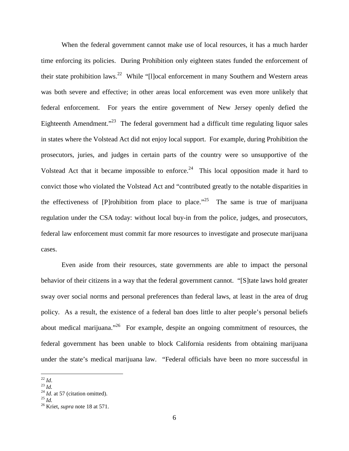When the federal government cannot make use of local resources, it has a much harder time enforcing its policies. During Prohibition only eighteen states funded the enforcement of their state prohibition laws.<sup>[22](#page-5-0)</sup> While "[I]ocal enforcement in many Southern and Western areas was both severe and effective; in other areas local enforcement was even more unlikely that federal enforcement. For years the entire government of New Jersey openly defied the Eighteenth Amendment."<sup>[23](#page-5-1)</sup> The federal government had a difficult time regulating liquor sales in states where the Volstead Act did not enjoy local support. For example, during Prohibition the prosecutors, juries, and judges in certain parts of the country were so unsupportive of the Volstead Act that it became impossible to enforce.<sup>[24](#page-5-2)</sup> This local opposition made it hard to convict those who violated the Volstead Act and "contributed greatly to the notable disparities in the effectiveness of [P]rohibition from place to place.<sup> $25$ </sup> The same is true of marijuana regulation under the CSA today: without local buy-in from the police, judges, and prosecutors, federal law enforcement must commit far more resources to investigate and prosecute marijuana cases.

Even aside from their resources, state governments are able to impact the personal behavior of their citizens in a way that the federal government cannot. "[S] tate laws hold greater sway over social norms and personal preferences than federal laws, at least in the area of drug policy. As a result, the existence of a federal ban does little to alter people's personal beliefs about medical marijuana."<sup>[26](#page-5-4)</sup> For example, despite an ongoing commitment of resources, the federal government has been unable to block California residents from obtaining marijuana under the state's medical marijuana law. "Federal officials have been no more successful in

<span id="page-5-0"></span><sup>22</sup> *Id*.

<span id="page-5-2"></span><span id="page-5-1"></span><sup>23</sup> *Id.*

<span id="page-5-3"></span><sup>&</sup>lt;sup>24</sup> *Id*. at 57 (citation omitted).

<span id="page-5-4"></span><sup>25</sup> *Id.*

<sup>26</sup> Kriet, *supra* note 18 at 571.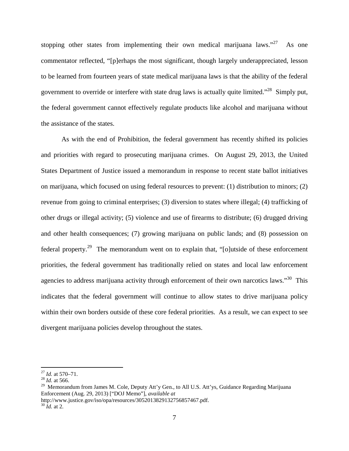stopping other states from implementing their own medical marijuana laws. $127 \text{ As}$  $127 \text{ As}$  $127 \text{ As}$  one commentator reflected, "[p]erhaps the most significant, though largely underappreciated, lesson to be learned from fourteen years of state medical marijuana laws is that the ability of the federal government to override or interfere with state drug laws is actually quite limited."[28](#page-6-1) Simply put, the federal government cannot effectively regulate products like alcohol and marijuana without the assistance of the states.

As with the end of Prohibition, the federal government has recently shifted its policies and priorities with regard to prosecuting marijuana crimes. On August 29, 2013, the United States Department of Justice issued a memorandum in response to recent state ballot initiatives on marijuana, which focused on using federal resources to prevent: (1) distribution to minors; (2) revenue from going to criminal enterprises; (3) diversion to states where illegal; (4) trafficking of other drugs or illegal activity; (5) violence and use of firearms to distribute; (6) drugged driving and other health consequences; (7) growing marijuana on public lands; and (8) possession on federal property.<sup>[29](#page-6-2)</sup> The memorandum went on to explain that, "solutside of these enforcement priorities, the federal government has traditionally relied on states and local law enforcement agencies to address marijuana activity through enforcement of their own narcotics laws."<sup>[30](#page-6-3)</sup> This indicates that the federal government will continue to allow states to drive marijuana policy within their own borders outside of these core federal priorities. As a result, we can expect to see divergent marijuana policies develop throughout the states.

<span id="page-6-0"></span><sup>27</sup> *Id.* at 570–71.

<span id="page-6-1"></span><sup>28</sup> *Id.* at 566.

<span id="page-6-2"></span><sup>&</sup>lt;sup>29</sup> Memorandum from James M. Cole, Deputy Att'y Gen., to All U.S. Att'ys, Guidance Regarding Marijuana Enforcement (Aug. 29, 2013) ["DOJ Memo"], *available at*

<span id="page-6-3"></span>http://www.justice.gov/iso/opa/resources/3052013829132756857467.pdf.

 $30 \bar{Id}$ . at 2.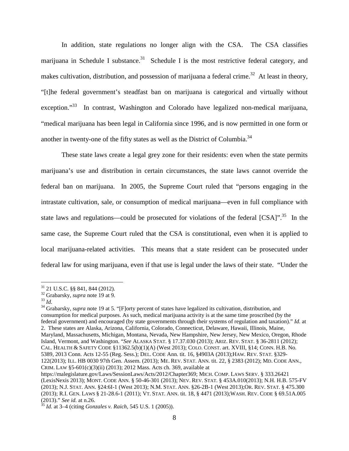In addition, state regulations no longer align with the CSA. The CSA classifies marijuana in Schedule I substance.<sup>[31](#page-7-0)</sup> Schedule I is the most restrictive federal category, and makes cultivation, distribution, and possession of marijuana a federal crime.<sup>[32](#page-7-1)</sup> At least in theory, "[t]he federal government's steadfast ban on marijuana is categorical and virtually without exception."<sup>[33](#page-7-2)</sup> In contrast, Washington and Colorado have legalized non-medical marijuana, "medical marijuana has been legal in California since 1996, and is now permitted in one form or another in twenty-one of the fifty states as well as the District of Columbia.<sup>34</sup>

These state laws create a legal grey zone for their residents: even when the state permits marijuana's use and distribution in certain circumstances, the state laws cannot override the federal ban on marijuana. In 2005, the Supreme Court ruled that "persons engaging in the intrastate cultivation, sale, or consumption of medical marijuana—even in full compliance with state laws and regulations—could be prosecuted for violations of the federal  $[CSA]$ ".<sup>[35](#page-7-3)</sup> In the same case, the Supreme Court ruled that the CSA is constitutional, even when it is applied to local marijuana-related activities. This means that a state resident can be prosecuted under federal law for using marijuana, even if that use is legal under the laws of their state. "Under the

<span id="page-7-0"></span><sup>31</sup> 21 U.S.C. §§ 841, 844 (2012).

<span id="page-7-1"></span><sup>32</sup> Grabarsky, *supra* note 19 at 9.

<span id="page-7-2"></span><sup>33</sup> *Id.*

<sup>&</sup>lt;sup>34</sup> Grabarsky, *supra* note 19 at 5. "[F]orty percent of states have legalized its cultivation, distribution, and consumption for medical purposes. As such, medical marijuana activity is at the same time proscribed (by the federal government) and encouraged (by state governments through their systems of regulation and taxation)." *Id.* at 2. These states are Alaska, Arizona, California, Colorado, Connecticut, Delaware, Hawaii, Illinois, Maine, Maryland, Massachusetts, Michigan, Montana, Nevada, New Hampshire, New Jersey, New Mexico, Oregon, Rhode Island, Vermont, and Washington. "*See* ALASKA STAT. § 17.37.030 (2013); ARIZ. REV. STAT. § 36-2811 (2012); CAL. HEALTH & SAFETY CODE §11362.5(b)(1)(A) (West 2013); COLO. CONST. art. XVIII, §14; CONN. H.B. No. 5389, 2013 Conn. Acts 12-55 (Reg. Sess.); DEL. CODE Ann. tit. 16, §4903A (2013);HAW. REV. STAT. §329- 122(2013); ILL. HB 0030 97th Gen. Assem. (2013); ME. REV. STAT. ANN. tit. 22, § 2383 (2012); MD. CODE ANN., CRIM. LAW §5-601(c)(3)(ii) (2013); 2012 Mass. Acts ch. 369, available at

https://malegislature.gov/Laws/SessionLaws/Acts/2012/Chapter369; MICH. COMP. LAWS SERV. § 333.26421 (LexisNexis 2013); MONT. CODE ANN. § 50-46-301 (2013); NEV. REV. STAT. § 453A.010(2013); N.H. H.B. 575-FV (2013); N.J. STAT. ANN. §24:6I-1 (West 2013); N.M. STAT. ANN. §26-2B-1 (West 2013);OR. REV. STAT. § 475.300 (2013); R.I. GEN. LAWS § 21-28.6-1 (2011); VT. STAT. ANN. tit. 18, § 4471 (2013);WASH. REV. CODE § 69.51A.005 (2013)." *See id.* at n.26.

<span id="page-7-3"></span><sup>35</sup> *Id.* at 3–4 (citing *Gonzales v. Raich*, 545 U.S. 1 (2005)).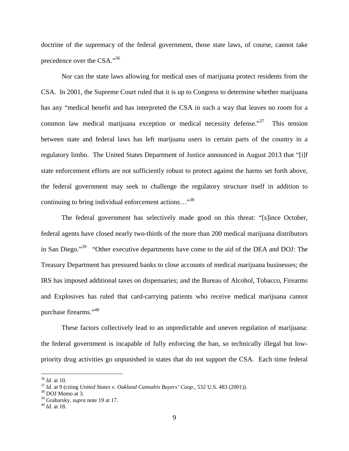doctrine of the supremacy of the federal government, those state laws, of course, cannot take precedence over the CSA."[36](#page-8-0)

Nor can the state laws allowing for medical uses of marijuana protect residents from the CSA. In 2001, the Supreme Court ruled that it is up to Congress to determine whether marijuana has any "medical benefit and has interpreted the CSA in such a way that leaves no room for a common law medical marijuana exception or medical necessity defense."<sup>[37](#page-8-1)</sup> This tension between state and federal laws has left marijuana users in certain parts of the country in a regulatory limbo. The United States Department of Justice announced in August 2013 that "[i]f state enforcement efforts are not sufficiently robust to protect against the harms set forth above, the federal government may seek to challenge the regulatory structure itself in addition to continuing to bring individual enforcement actions..."<sup>3[8](#page-8-2)</sup>

The federal government has selectively made good on this threat: "[s]ince October, federal agents have closed nearly two-thirds of the more than 200 medical marijuana distributors in San Diego."<sup>[39](#page-8-3)</sup> "Other executive departments have come to the aid of the DEA and DOJ: The Treasury Department has pressured banks to close accounts of medical marijuana businesses; the IRS has imposed additional taxes on dispensaries; and the Bureau of Alcohol, Tobacco, Firearms and Explosives has ruled that card-carrying patients who receive medical marijuana cannot purchase firearms."[40](#page-8-4)

These factors collectively lead to an unpredictable and uneven regulation of marijuana: the federal government is incapable of fully enforcing the ban, so technically illegal but lowpriority drug activities go unpunished in states that do not support the CSA. Each time federal

<span id="page-8-0"></span><sup>36</sup> *Id.* at 10.

<span id="page-8-1"></span><sup>37</sup> *Id.* at 9 (citing *United States v. Oakland Cannabis Buyers' Coop.*, 532 U.S. 483 (2001)).

<span id="page-8-3"></span><span id="page-8-2"></span><sup>38</sup> DOJ Memo at 3.

<span id="page-8-4"></span><sup>39</sup> Grabarsky, *supra* note 19 at 17.

<sup>40</sup> *Id.* at 18.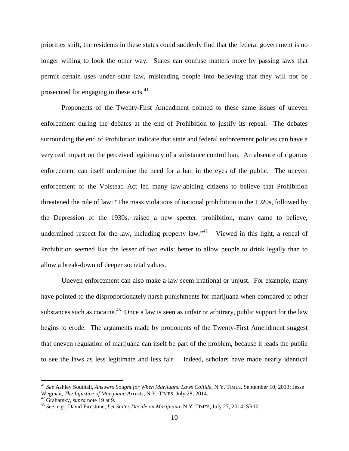priorities shift, the residents in these states could suddenly find that the federal government is no longer willing to look the other way. States can confuse matters more by passing laws that permit certain uses under state law, misleading people into believing that they will not be prosecutedfor engaging in these  $acts<sup>41</sup>$ .

Proponents of the Twenty-First Amendment pointed to these same issues of uneven enforcement during the debates at the end of Prohibition to justify its repeal. The debates surrounding the end of Prohibition indicate that state and federal enforcement policies can have a very real impact on the perceived legitimacy of a substance control ban. An absence of rigorous enforcement can itself undermine the need for a ban in the eyes of the public. The uneven enforcement of the Volstead Act led many law-abiding citizens to believe that Prohibition threatened the rule of law: "The mass violations of national prohibition in the 1920s, followed by the Depression of the 1930s, raised a new specter: prohibition, many came to believe, undermined respect for the law, including property law."<sup>4[2](#page-9-1)</sup> Viewed in this light, a repeal of Prohibition seemed like the lesser of two evils: better to allow people to drink legally than to allow a break-down of deeper societal values.

Uneven enforcement can also make a law seem irrational or unjust. For example, many have pointed to the disproportionately harsh punishments for marijuana when compared to other substances such as cocaine.<sup>[43](#page-9-2)</sup> Once a law is seen as unfair or arbitrary, public support for the law begins to erode. The arguments made by proponents of the Twenty-First Amendment suggest that uneven regulation of marijuana can itself be part of the problem, because it leads the public to see the laws as less legitimate and less fair. Indeed, scholars have made nearly identical

<span id="page-9-0"></span><sup>41</sup> *See* Ashley Southall, *Answers Sought for When Marijuana Laws Collide*, N.Y. TIMES, September 10, 2013; Jesse Wegman, *The Injustice of Marijuana Arrests*, N.Y. TIMES, July 28, 2014.

<span id="page-9-2"></span><span id="page-9-1"></span><sup>42</sup> Grabarsky, *supra* note 19 at 9.

<sup>43</sup> *See, e.g.*, David Firestone, *Let States Decide on Marijuana*, N.Y. TIMES, July 27, 2014, SR10.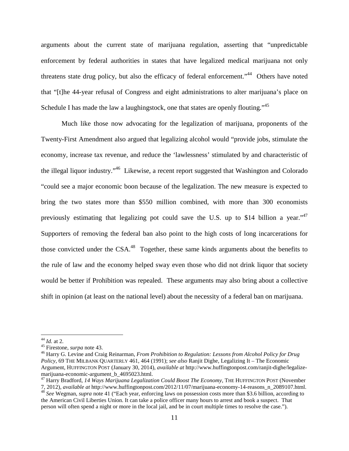arguments about the current state of marijuana regulation, asserting that "unpredictable enforcement by federal authorities in states that have legalized medical marijuana not only threatens state drug policy, but also the efficacy of federal enforcement."[44](#page-10-0) Others have noted that "[t]he 44-year refusal of Congress and eight administrations to alter marijuana's place on Schedule I has made the law a laughingstock, one that states are openly flouting."<sup>45</sup>

Much like those now advocating for the legalization of marijuana, proponents of the Twenty-First Amendment also argued that legalizing alcohol would "provide jobs, stimulate the economy, increase tax revenue, and reduce the 'lawlessness' stimulated by and characteristic of the illegal liquor industry."[46](#page-10-1) Likewise, a recent report suggested that Washington and Colorado "could see a major economic boon because of the legalization. The new measure is expected to bring the two states more than \$550 million combined, with more than 300 economists previously estimating that legalizing pot could save the U.S. up to \$14 billion a year."<sup>[47](#page-10-2)</sup> Supporters of removing the federal ban also point to the high costs of long incarcerations for those convicted under the CSA.<sup>[48](#page-10-3)</sup> Together, these same kinds arguments about the benefits to the rule of law and the economy helped sway even those who did not drink liquor that society would be better if Prohibition was repealed. These arguments may also bring about a collective shift in opinion (at least on the national level) about the necessity of a federal ban on marijuana.

<span id="page-10-0"></span><sup>44</sup> *Id.* at 2.

<sup>45</sup> Firestone, *surpa* note 43.

<span id="page-10-1"></span><sup>46</sup> Harry G. Levine and Craig Reinarman, *From Prohibition to Regulation: Lessons from Alcohol Policy for Drug Policy*, 69 THE MILBANK QUARTERLY 461, 464 (1991); *see also* Ranjit Dighe, Legalizing It – The Economic Argument, HUFFINGTON POST (January 30, 2014), *available at* http://www.huffingtonpost.com/ranjit-dighe/legalizemarijuana-economic-argument\_b\_4695023.html.

<span id="page-10-2"></span><sup>&</sup>lt;sup>47</sup> Harry Bradford, 14 Ways Marijuana Legalization Could Boost The Economy, THE HUFFINGTON POST (November

<span id="page-10-3"></span><sup>7, 2012),</sup> *available at* http://www.huffingtonpost.com/2012/11/07/marijuana-economy-14-reasons\_n\_2089107.html. <sup>48</sup> *See* Wegman, *supra* note 41 ("Each year, enforcing laws on possession costs more than \$3.6 billion, according to the American Civil Liberties Union. It can take a police officer many hours to arrest and book a suspect. That person will often spend a night or more in the local jail, and be in court multiple times to resolve the case.").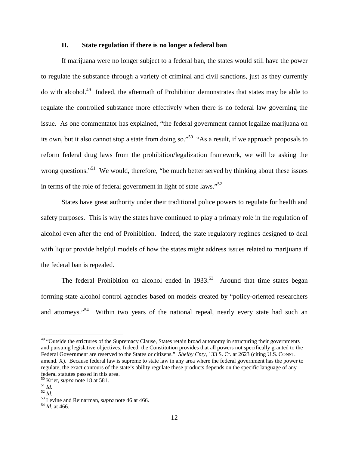### **II. State regulation if there is no longer a federal ban**

If marijuana were no longer subject to a federal ban, the states would still have the power to regulate the substance through a variety of criminal and civil sanctions, just as they currently do with alcohol.[49](#page-11-0) Indeed, the aftermath of Prohibition demonstrates that states may be able to regulate the controlled substance more effectively when there is no federal law governing the issue. As one commentator has explained, "the federal government cannot legalize marijuana on its own, but it also cannot stop a state from doing so."<sup>[50](#page-11-1)</sup> "As a result, if we approach proposals to reform federal drug laws from the prohibition/legalization framework, we will be asking the wrong questions."<sup>[51](#page-11-2)</sup> We would, therefore, "be much better served by thinking about these issues in terms of the role of federal government in light of state laws."<sup>5[2](#page-11-3)</sup>

States have great authority under their traditional police powers to regulate for health and safety purposes. This is why the states have continued to play a primary role in the regulation of alcohol even after the end of Prohibition. Indeed, the state regulatory regimes designed to deal with liquor provide helpful models of how the states might address issues related to marijuana if the federal ban is repealed.

The federal Prohibition on alcohol ended in  $1933$ <sup>[53](#page-11-4)</sup> Around that time states began forming state alcohol control agencies based on models created by "policy-oriented researchers and attorneys."<sup>[54](#page-11-5)</sup> Within two years of the national repeal, nearly every state had such an

<span id="page-11-0"></span><sup>&</sup>lt;sup>49</sup> "Outside the strictures of the Supremacy Clause, States retain broad autonomy in structuring their governments and pursuing legislative objectives. Indeed, the Constitution provides that all powers not specifically granted to the Federal Government are reserved to the States or citizens." *Shelby Cnty*, 133 S. Ct. at 2623 (citing U.S. CONST. amend. X). Because federal law is supreme to state law in any area where the federal government has the power to regulate, the exact contours of the state's ability regulate these products depends on the specific language of any federal statutes passed in this area.

<span id="page-11-1"></span><sup>50</sup> Kriet, *supra* note 18 at 581.

<span id="page-11-2"></span><sup>51</sup> *Id*.

<span id="page-11-3"></span><sup>52</sup> *Id*.

<span id="page-11-4"></span><sup>53</sup> Levine and Reinarman, *supra* note 46 at 466.

<span id="page-11-5"></span><sup>54</sup> *Id*. at 466.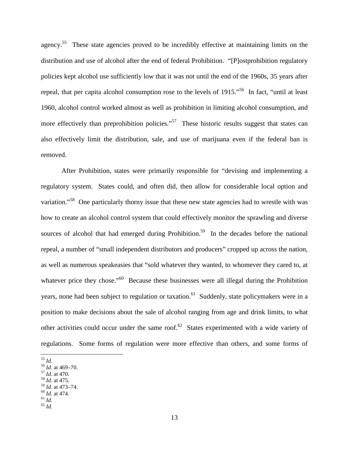agency.<sup>[55](#page-12-0)</sup> These state agencies proved to be incredibly effective at maintaining limits on the distribution and use of alcohol after the end of federal Prohibition. "[P]ostprohibition regulatory policies kept alcohol use sufficiently low that it was not until the end of the 1960s, 35 years after repeal, that per capita alcohol consumption rose to the levels of 1915."[56](#page-12-1) In fact, "until at least 1960, alcohol control worked almost as well as prohibition in limiting alcohol consumption, and more effectively than preprohibition policies."<sup>[57](#page-12-2)</sup> These historic results suggest that states can also effectively limit the distribution, sale, and use of marijuana even if the federal ban is removed.

After Prohibition, states were primarily responsible for "devising and implementing a regulatory system. States could, and often did, then allow for considerable local option and variation."<sup>[58](#page-12-3)</sup> One particularly thorny issue that these new state agencies had to wrestle with was how to create an alcohol control system that could effectively monitor the sprawling and diverse sources of alcohol that had emerged during Prohibition.<sup>[59](#page-12-4)</sup> In the decades before the national repeal, a number of "small independent distributors and producers" cropped up across the nation, as well as numerous speakeasies that "sold whatever they wanted, to whomever they cared to, at whatever price they chose."<sup>[60](#page-12-5)</sup> Because these businesses were all illegal during the Prohibition years, none had been subject to regulation or taxation.<sup>[61](#page-12-6)</sup> Suddenly, state policymakers were in a position to make decisions about the sale of alcohol ranging from age and drink limits, to what other activities could occur under the same roof.<sup>[62](#page-12-7)</sup> States experimented with a wide variety of regulations. Some forms of regulation were more effective than others, and some forms of

<span id="page-12-0"></span><sup>55</sup> *Id*.

<span id="page-12-3"></span><span id="page-12-2"></span><sup>57</sup> *Id*. at 470.

<span id="page-12-5"></span><sup>59</sup> *Id*. at 473–74.

<span id="page-12-7"></span><sup>62</sup> *Id*.

<span id="page-12-1"></span><sup>56</sup> *Id*. at 469–70.

<span id="page-12-4"></span><sup>58</sup> *Id*. at 475.

<span id="page-12-6"></span><sup>60</sup> *Id*. at 474.  $\stackrel{61}{d}$ .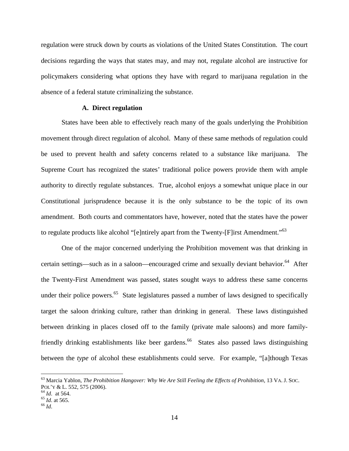regulation were struck down by courts as violations of the United States Constitution. The court decisions regarding the ways that states may, and may not, regulate alcohol are instructive for policymakers considering what options they have with regard to marijuana regulation in the absence of a federal statute criminalizing the substance.

### **A. Direct regulation**

States have been able to effectively reach many of the goals underlying the Prohibition movement through direct regulation of alcohol. Many of these same methods of regulation could be used to prevent health and safety concerns related to a substance like marijuana. The Supreme Court has recognized the states' traditional police powers provide them with ample authority to directly regulate substances. True, alcohol enjoys a somewhat unique place in our Constitutional jurisprudence because it is the only substance to be the topic of its own amendment. Both courts and commentators have, however, noted that the states have the power to regulate products like alcohol "[e]ntirely apart from the Twenty-[F]irst Amendment."<sup>63</sup>

One of the major concerned underlying the Prohibition movement was that drinking in certain settings—such as in a saloon—encouraged crime and sexually deviant behavior.<sup>[64](#page-13-0)</sup> After the Twenty-First Amendment was passed, states sought ways to address these same concerns under their police powers.<sup>[65](#page-13-1)</sup> State legislatures passed a number of laws designed to specifically target the saloon drinking culture, rather than drinking in general. These laws distinguished between drinking in places closed off to the family (private male saloons) and more family-friendly drinking establishments like beer gardens.<sup>[66](#page-13-2)</sup> States also passed laws distinguishing between the *type* of alcohol these establishments could serve. For example, "[a]though Texas

<sup>63</sup> Marcia Yablon, *The Prohibition Hangover: Why We Are Still Feeling the Effects of Prohibition*, 13 VA. J. SOC. POL'Y & L. 552, 575 (2006).

<span id="page-13-1"></span><span id="page-13-0"></span><sup>64</sup> *Id*. at 564.

<span id="page-13-2"></span><sup>65</sup> *Id*. at 565.

<sup>66</sup> *Id*.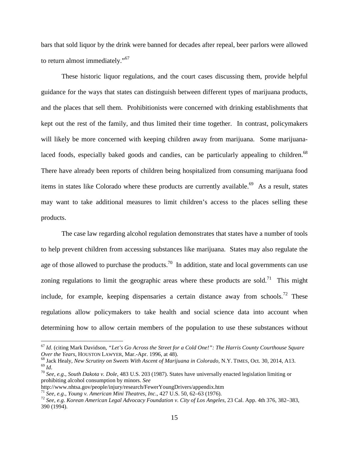bars that sold liquor by the drink were banned for decades after repeal, beer parlors were allowed to return almost immediately."<sup>[67](#page-14-0)</sup>

These historic liquor regulations, and the court cases discussing them, provide helpful guidance for the ways that states can distinguish between different types of marijuana products, and the places that sell them. Prohibitionists were concerned with drinking establishments that kept out the rest of the family, and thus limited their time together. In contrast, policymakers will likely be more concerned with keeping children away from marijuana. Some marijuana-laced foods, especially baked goods and candies, can be particularly appealing to children.<sup>[68](#page-14-1)</sup> There have already been reports of children being hospitalized from consuming marijuana food items in states like Colorado where these products are currently available.<sup>[69](#page-14-2)</sup> As a result, states may want to take additional measures to limit children's access to the places selling these products.

The case law regarding alcohol regulation demonstrates that states have a number of tools to help prevent children from accessing substances like marijuana. States may also regulate the age of those allowed to purchase the products.<sup>[70](#page-14-3)</sup> In addition, state and local governments can use zoning regulations to limit the geographic areas where these products are sold.<sup>[71](#page-14-4)</sup> This might include, for example, keeping dispensaries a certain distance away from schools.<sup>[72](#page-14-5)</sup> These regulations allow policymakers to take health and social science data into account when determining how to allow certain members of the population to use these substances without

<span id="page-14-0"></span><sup>67</sup> *Id*. (citing Mark Davidson, *"Let's Go Across the Street for a Cold One!": The Harris County Courthouse Square Over the Years*, HOUSTON LAWYER, Mar.-Apr. 1996, at 48).

<span id="page-14-2"></span><span id="page-14-1"></span><sup>68</sup> Jack Healy, *New Scrutiny on Sweets With Ascent of Marijuana in Colorado*, N.Y. TIMES, Oct. 30, 2014, A13. <sup>69</sup> *Id*.

<span id="page-14-3"></span><sup>70</sup> *See, e.g*., *South Dakota v. Dole*, 483 U.S. 203 (1987). States have universally enacted legislation limiting or prohibiting alcohol consumption by minors. *See*

http://www.nhtsa.gov/people/injury/research/FewerYoungDrivers/appendix.htm

<span id="page-14-5"></span><span id="page-14-4"></span><sup>71</sup> *See, e.g*., *Young v. American Mini Theatres, Inc*., 427 U.S. 50, 62–63 (1976).

<sup>72</sup> *See, e.g*. *Korean American Legal Advocacy Foundation v. City of Los Angeles*, 23 Cal. App. 4th 376, 382–383, 390 (1994).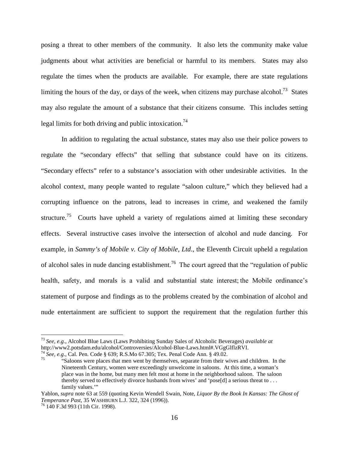posing a threat to other members of the community. It also lets the community make value judgments about what activities are beneficial or harmful to its members. States may also regulate the times when the products are available. For example, there are state regulations limiting the hours of the day, or days of the week, when citizens may purchase alcohol.<sup>[73](#page-15-0)</sup> States may also regulate the amount of a substance that their citizens consume. This includes setting legal limits for both driving and public intoxication.<sup>7[4](#page-15-1)</sup>

In addition to regulating the actual substance, states may also use their police powers to regulate the "secondary effects" that selling that substance could have on its citizens. "Secondary effects" refer to a substance's association with other undesirable activities. In the alcohol context, many people wanted to regulate "saloon culture," which they believed had a corrupting influence on the patrons, lead to increases in crime, and weakened the family structure.<sup>[75](#page-15-2)</sup> Courts have upheld a variety of regulations aimed at limiting these secondary effects. Several instructive cases involve the intersection of alcohol and nude dancing. For example, in *Sammy's of Mobile v. City of Mobile, Ltd*., the Eleventh Circuit upheld a regulation of alcohol sales in nude dancing establishment.<sup>[76](#page-15-3)</sup> The court agreed that the "regulation of public health, safety, and morals is a valid and substantial state interest; the Mobile ordinance's statement of purpose and findings as to the problems created by the combination of alcohol and nude entertainment are sufficient to support the requirement that the regulation further this

<span id="page-15-0"></span><sup>73</sup> *See, e.g.*, Alcohol Blue Laws (Laws Prohibiting Sunday Sales of Alcoholic Beverages) *available at* http://www2.potsdam.edu/alcohol/Controversies/Alcohol-Blue-Laws.html#.VGgGlflzRVI.  $^{74}$  *See, e.g.*, Cal. Pen. Code § 639; R.S.Mo 67.305; Tex. Penal Code Ann. § 49.02.

<span id="page-15-2"></span><span id="page-15-1"></span><sup>75</sup> "Saloons were places that men went by themselves, separate from their wives and children. In the Nineteenth Century, women were exceedingly unwelcome in saloons. At this time, a woman's place was in the home, but many men felt most at home in the neighborhood saloon. The saloon thereby served to effectively divorce husbands from wives' and 'pose[d] a serious threat to . . . family values."

Yablon, *supra* note 63 at 559 (quoting Kevin Wendell Swain, Note, *Liquor By the Book In Kansas: The Ghost of Temperance Past*, 35 WASHBURN L.J. 322, 324 (1996)).

<span id="page-15-3"></span><sup>76</sup> 140 F.3d 993 (11th Cir. 1998).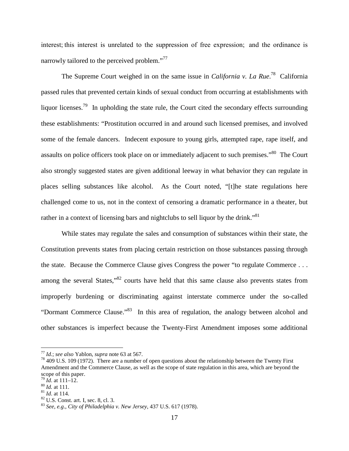interest; this interest is unrelated to the suppression of free expression; and the ordinance is narrowly tailored to the perceived problem."<sup>[7](#page-16-0)7</sup>

The Supreme Court weighed in on the same issue in *California v. La Rue*. [78](#page-16-1) California passed rules that prevented certain kinds of sexual conduct from occurring at establishments with liquor licenses.<sup>[79](#page-16-2)</sup> In upholding the state rule, the Court cited the secondary effects surrounding these establishments: "Prostitution occurred in and around such licensed premises, and involved some of the female dancers. Indecent exposure to young girls, attempted rape, rape itself, and assaults on police officers took place on or immediately adjacent to such premises."<sup>[80](#page-16-3)</sup> The Court also strongly suggested states are given additional leeway in what behavior they can regulate in places selling substances like alcohol. As the Court noted, "[t]he state regulations here challenged come to us, not in the context of censoring a dramatic performance in a theater, but rather in a context of licensing bars and nightclubs to sell liquor by the drink."<sup>81</sup>

While states may regulate the sales and consumption of substances within their state, the Constitution prevents states from placing certain restriction on those substances passing through the state. Because the Commerce Clause gives Congress the power "to regulate Commerce . . . among the several States,"<sup>[82](#page-16-4)</sup> courts have held that this same clause also prevents states from improperly burdening or discriminating against interstate commerce under the so-called "Dormant Commerce Clause."<sup>[83](#page-16-5)</sup> In this area of regulation, the analogy between alcohol and other substances is imperfect because the Twenty-First Amendment imposes some additional

<span id="page-16-0"></span><sup>77</sup> *Id.*; *see also* Yablon, *supra* note 63 at 567.

<span id="page-16-1"></span><sup>78</sup> 409 U.S. 109 (1972). There are a number of open questions about the relationship between the Twenty First Amendment and the Commerce Clause, as well as the scope of state regulation in this area, which are beyond the scope of this paper.

<span id="page-16-3"></span><span id="page-16-2"></span><sup>79</sup> *Id*. at 111–12.

<sup>80</sup> *Id.* at 111.

<sup>81</sup> *Id*. at 114.

<span id="page-16-4"></span><sup>82</sup> U.S. Const. art. I, sec. 8, cl. 3.

<span id="page-16-5"></span><sup>83</sup> *See*, *e.g*., *City of Philadelphia v. New Jersey*, 437 U.S. 617 (1978).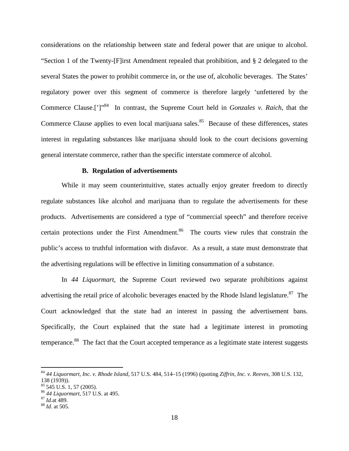considerations on the relationship between state and federal power that are unique to alcohol. "Section 1 of the Twenty-[F]irst Amendment repealed that prohibition, and § 2 delegated to the several States the power to prohibit commerce in, or the use of, alcoholic beverages. The States' regulatory power over this segment of commerce is therefore largely 'unfettered by the Commerce Clause.[']"[84](#page-17-0) In contrast, the Supreme Court held in *Gonzales v. Raich*, that the Commerce Clause applies to even local marijuana sales.<sup>[85](#page-17-1)</sup> Because of these differences, states interest in regulating substances like marijuana should look to the court decisions governing general interstate commerce, rather than the specific interstate commerce of alcohol.

### **B. Regulation of advertisements**

While it may seem counterintuitive, states actually enjoy greater freedom to directly regulate substances like alcohol and marijuana than to regulate the advertisements for these products. Advertisements are considered a type of "commercial speech" and therefore receive certain protections under the First Amendment.<sup>[86](#page-17-2)</sup> The courts view rules that constrain the public's access to truthful information with disfavor. As a result, a state must demonstrate that the advertising regulations will be effective in limiting consummation of a substance.

In *44 Liquormart*, the Supreme Court reviewed two separate prohibitions against advertising the retail price of alcoholic beverages enacted by the Rhode Island legislature.<sup>[87](#page-17-3)</sup> The Court acknowledged that the state had an interest in passing the advertisement bans. Specifically, the Court explained that the state had a legitimate interest in promoting temperance.[88](#page-17-4) The fact that the Court accepted temperance as a legitimate state interest suggests

<span id="page-17-0"></span><sup>84</sup> *44 Liquormart, Inc. v. Rhode Island*, 517 U.S. 484, 514–15 (1996) (quoting *Ziffrin, Inc. v. Reeves*, 308 U.S. 132, 138 (1939)).

<span id="page-17-1"></span><sup>85</sup> 545 U.S. 1, 57 (2005).

<span id="page-17-3"></span><span id="page-17-2"></span><sup>86</sup> *44 Liquormart*, 517 U.S. at 495.

<sup>87</sup> *Id.*at 489.

<span id="page-17-4"></span><sup>88</sup> *Id*. at 505.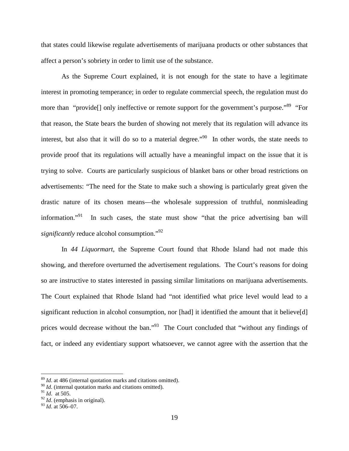that states could likewise regulate advertisements of marijuana products or other substances that affect a person's sobriety in order to limit use of the substance.

As the Supreme Court explained, it is not enough for the state to have a legitimate interest in promoting temperance; in order to regulate commercial speech, the regulation must do more than "provide<sup>[]</sup> only ineffective or remote support for the government's purpose."<sup>[89](#page-18-0)</sup> "For that reason, the State bears the burden of showing not merely that its regulation will advance its interest, but also that it will do so to a material degree."<sup>[90](#page-18-1)</sup> In other words, the state needs to provide proof that its regulations will actually have a meaningful impact on the issue that it is trying to solve. Courts are particularly suspicious of blanket bans or other broad restrictions on advertisements: "The need for the State to make such a showing is particularly great given the drastic nature of its chosen means—the wholesale suppression of truthful, nonmisleading information."<sup>[91](#page-18-2)</sup> In such cases, the state must show "that the price advertising ban will *significantly* reduce alcohol consumption."<sup>[92](#page-18-3)</sup>

In *44 Liquormart*, the Supreme Court found that Rhode Island had not made this showing, and therefore overturned the advertisement regulations. The Court's reasons for doing so are instructive to states interested in passing similar limitations on marijuana advertisements. The Court explained that Rhode Island had "not identified what price level would lead to a significant reduction in alcohol consumption, nor [had] it identified the amount that it believe[d] prices would decrease without the ban."<sup>[93](#page-18-4)</sup> The Court concluded that "without any findings of fact, or indeed any evidentiary support whatsoever, we cannot agree with the assertion that the

<span id="page-18-1"></span><span id="page-18-0"></span><sup>89</sup> *Id*. at 486 (internal quotation marks and citations omitted).

<sup>&</sup>lt;sup>90</sup> *Id*. (internal quotation marks and citations omitted).

<span id="page-18-2"></span><sup>91</sup> *Id*. at 505.

<span id="page-18-3"></span><sup>92</sup> *Id*. (emphasis in original).

<span id="page-18-4"></span><sup>93</sup> *Id*. at 506–07.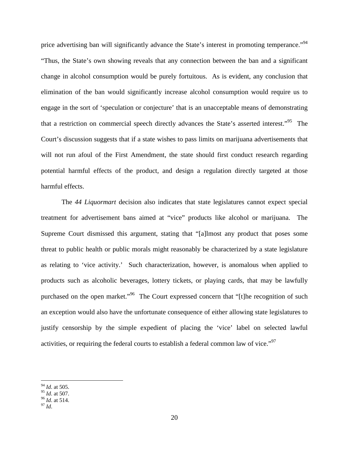price advertising ban will significantly advance the State's interest in promoting temperance."<sup>[94](#page-19-0)</sup> "Thus, the State's own showing reveals that any connection between the ban and a significant change in alcohol consumption would be purely fortuitous. As is evident, any conclusion that elimination of the ban would significantly increase alcohol consumption would require us to engage in the sort of 'speculation or conjecture' that is an unacceptable means of demonstrating that a restriction on commercial speech directly advances the State's asserted interest."<sup>[95](#page-19-1)</sup> The Court's discussion suggests that if a state wishes to pass limits on marijuana advertisements that will not run afoul of the First Amendment, the state should first conduct research regarding potential harmful effects of the product, and design a regulation directly targeted at those harmful effects.

The *44 Liquormart* decision also indicates that state legislatures cannot expect special treatment for advertisement bans aimed at "vice" products like alcohol or marijuana. The Supreme Court dismissed this argument, stating that "[a]lmost any product that poses some threat to public health or public morals might reasonably be characterized by a state legislature as relating to 'vice activity.' Such characterization, however, is anomalous when applied to products such as alcoholic beverages, lottery tickets, or playing cards, that may be lawfully purchased on the open market."<sup>[96](#page-19-2)</sup> The Court expressed concern that "[t]he recognition of such an exception would also have the unfortunate consequence of either allowing state legislatures to justify censorship by the simple expedient of placing the 'vice' label on selected lawful activities, or requiring the federal courts to establish a federal common law of vice."<sup>9[7](#page-19-3)</sup>

<span id="page-19-0"></span><sup>94</sup> *Id*. at 505.

<span id="page-19-1"></span><sup>95</sup> *Id*. at 507.

<span id="page-19-2"></span><sup>96</sup> *Id*. at 514.

<span id="page-19-3"></span><sup>97</sup> *Id*.